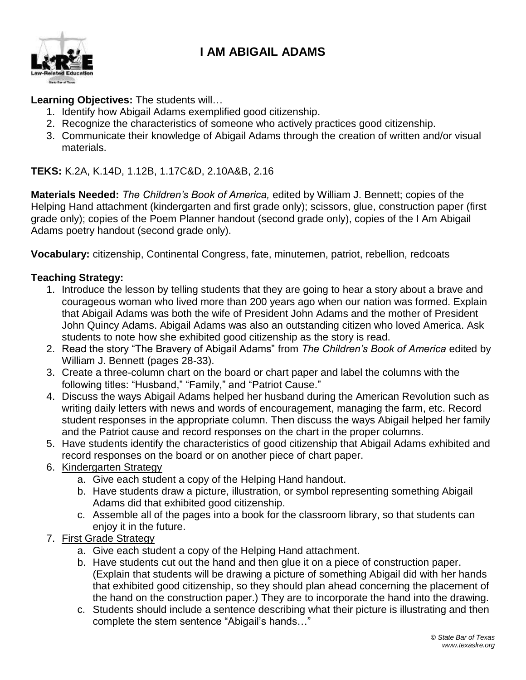# **I AM ABIGAIL ADAMS**



#### **Learning Objectives:** The students will…

- 1. Identify how Abigail Adams exemplified good citizenship.
- 2. Recognize the characteristics of someone who actively practices good citizenship.
- 3. Communicate their knowledge of Abigail Adams through the creation of written and/or visual materials.

**TEKS:** K.2A, K.14D, 1.12B, 1.17C&D, 2.10A&B, 2.16

**Materials Needed:** *The Children's Book of America,* edited by William J. Bennett; copies of the Helping Hand attachment (kindergarten and first grade only); scissors, glue, construction paper (first grade only); copies of the Poem Planner handout (second grade only), copies of the I Am Abigail Adams poetry handout (second grade only).

**Vocabulary:** citizenship, Continental Congress, fate, minutemen, patriot, rebellion, redcoats

#### **Teaching Strategy:**

- 1. Introduce the lesson by telling students that they are going to hear a story about a brave and courageous woman who lived more than 200 years ago when our nation was formed. Explain that Abigail Adams was both the wife of President John Adams and the mother of President John Quincy Adams. Abigail Adams was also an outstanding citizen who loved America. Ask students to note how she exhibited good citizenship as the story is read.
- 2. Read the story "The Bravery of Abigail Adams" from *The Children's Book of America* edited by William J. Bennett (pages 28-33).
- 3. Create a three-column chart on the board or chart paper and label the columns with the following titles: "Husband," "Family," and "Patriot Cause."
- 4. Discuss the ways Abigail Adams helped her husband during the American Revolution such as writing daily letters with news and words of encouragement, managing the farm, etc. Record student responses in the appropriate column. Then discuss the ways Abigail helped her family and the Patriot cause and record responses on the chart in the proper columns.
- 5. Have students identify the characteristics of good citizenship that Abigail Adams exhibited and record responses on the board or on another piece of chart paper.
- 6. Kindergarten Strategy
	- a. Give each student a copy of the Helping Hand handout.
	- b. Have students draw a picture, illustration, or symbol representing something Abigail Adams did that exhibited good citizenship.
	- c. Assemble all of the pages into a book for the classroom library, so that students can enjoy it in the future.
- 7. First Grade Strategy
	- a. Give each student a copy of the Helping Hand attachment.
	- b. Have students cut out the hand and then glue it on a piece of construction paper. (Explain that students will be drawing a picture of something Abigail did with her hands that exhibited good citizenship, so they should plan ahead concerning the placement of the hand on the construction paper.) They are to incorporate the hand into the drawing.
	- c. Students should include a sentence describing what their picture is illustrating and then complete the stem sentence "Abigail's hands…"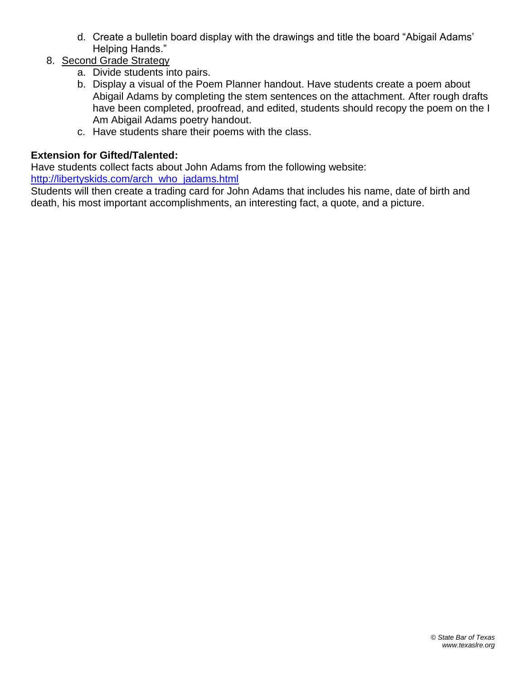- d. Create a bulletin board display with the drawings and title the board "Abigail Adams' Helping Hands."
- 8. Second Grade Strategy
	- a. Divide students into pairs.
	- b. Display a visual of the Poem Planner handout. Have students create a poem about Abigail Adams by completing the stem sentences on the attachment. After rough drafts have been completed, proofread, and edited, students should recopy the poem on the I Am Abigail Adams poetry handout.
	- c. Have students share their poems with the class.

## **Extension for Gifted/Talented:**

Have students collect facts about John Adams from the following website: [http://libertyskids.com/arch\\_who\\_jadams.html](http://libertyskids.com/arch_who_jadams.html)

Students will then create a trading card for John Adams that includes his name, date of birth and death, his most important accomplishments, an interesting fact, a quote, and a picture.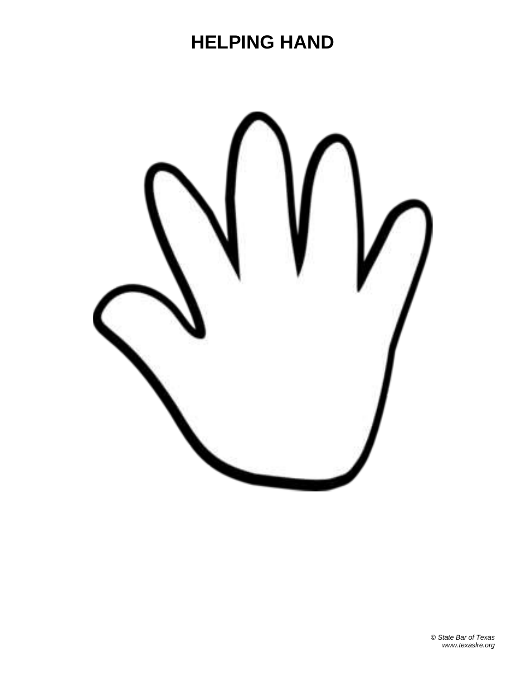# **HELPING HAND**

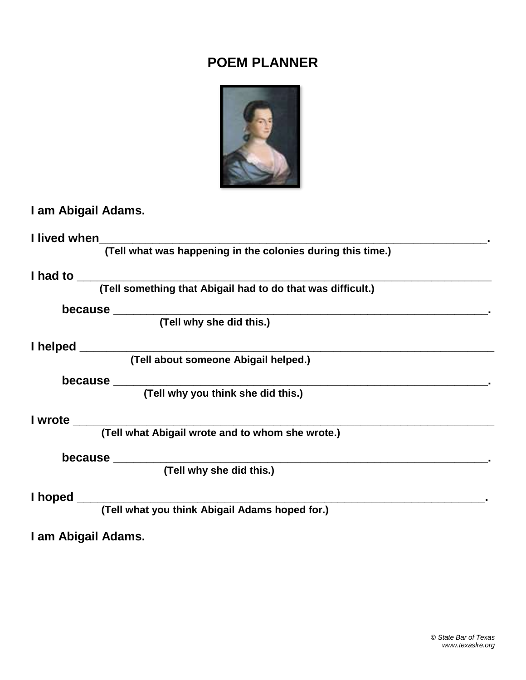# **POEM PLANNER**



# **I am Abigail Adams.**

**I lived when\_\_\_\_\_\_\_\_\_\_\_\_\_\_\_\_\_\_\_\_\_\_\_\_\_\_\_\_\_\_\_\_\_\_\_\_\_\_\_\_\_\_\_\_\_\_\_\_\_\_\_\_\_\_\_\_\_\_.**

 **(Tell what was happening in the colonies during this time.)**

## **I had to \_\_\_\_\_\_\_\_\_\_\_\_\_\_\_\_\_\_\_\_\_\_\_\_\_\_\_\_\_\_\_\_\_\_\_\_\_\_\_\_\_\_\_\_\_\_\_\_\_\_\_\_\_\_\_\_\_\_\_\_\_\_**

 **(Tell something that Abigail had to do that was difficult.)**

**because \_\_\_\_\_\_\_\_\_\_\_\_\_\_\_\_\_\_\_\_\_\_\_\_\_\_\_\_\_\_\_\_\_\_\_\_\_\_\_\_\_\_\_\_\_\_\_\_\_\_\_\_\_\_\_\_.**

 **(Tell why she did this.)**

#### **I helped \_\_\_\_\_\_\_\_\_\_\_\_\_\_\_\_\_\_\_\_\_\_\_\_\_\_\_\_\_\_\_\_\_\_\_\_\_\_\_\_\_\_\_\_\_\_\_\_\_\_\_\_\_\_\_\_\_\_\_\_\_\_**

 **(Tell about someone Abigail helped.)**

**because \_\_\_\_\_\_\_\_\_\_\_\_\_\_\_\_\_\_\_\_\_\_\_\_\_\_\_\_\_\_\_\_\_\_\_\_\_\_\_\_\_\_\_\_\_\_\_\_\_\_\_\_\_\_\_\_.**

 **(Tell why you think she did this.)**

## **I wrote \_\_\_\_\_\_\_\_\_\_\_\_\_\_\_\_\_\_\_\_\_\_\_\_\_\_\_\_\_\_\_\_\_\_\_\_\_\_\_\_\_\_\_\_\_\_\_\_\_\_\_\_\_\_\_\_\_\_\_\_\_\_\_**

 **(Tell what Abigail wrote and to whom she wrote.)**

#### **because \_\_\_\_\_\_\_\_\_\_\_\_\_\_\_\_\_\_\_\_\_\_\_\_\_\_\_\_\_\_\_\_\_\_\_\_\_\_\_\_\_\_\_\_\_\_\_\_\_\_\_\_\_\_\_\_.**

 **(Tell why she did this.)**

## **I hoped \_\_\_\_\_\_\_\_\_\_\_\_\_\_\_\_\_\_\_\_\_\_\_\_\_\_\_\_\_\_\_\_\_\_\_\_\_\_\_\_\_\_\_\_\_\_\_\_\_\_\_\_\_\_\_\_\_\_\_\_\_.**

 **(Tell what you think Abigail Adams hoped for.)**

**I am Abigail Adams.**